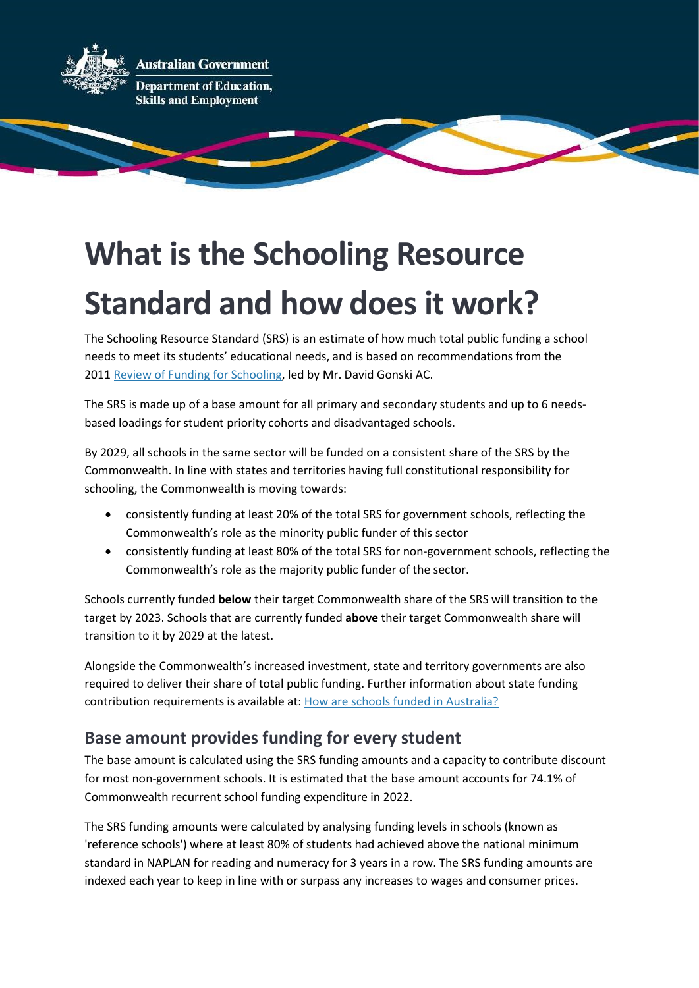

# What is the Schooling Resource Standard and how does it work?

The Schooling Resource Standard (SRS) is an estimate of how much total public funding a school needs to meet its students' educational needs, and is based on recommendations from the 2011 Review of Funding for Schooling, led by Mr. David Gonski AC.

The SRS is made up of a base amount for all primary and secondary students and up to 6 needsbased loadings for student priority cohorts and disadvantaged schools.

By 2029, all schools in the same sector will be funded on a consistent share of the SRS by the Commonwealth. In line with states and territories having full constitutional responsibility for schooling, the Commonwealth is moving towards:

- consistently funding at least 20% of the total SRS for government schools, reflecting the Commonwealth's role as the minority public funder of this sector
- consistently funding at least 80% of the total SRS for non-government schools, reflecting the Commonwealth's role as the majority public funder of the sector.

Schools currently funded below their target Commonwealth share of the SRS will transition to the target by 2023. Schools that are currently funded above their target Commonwealth share will transition to it by 2029 at the latest.

Alongside the Commonwealth's increased investment, state and territory governments are also required to deliver their share of total public funding. Further information about state funding contribution requirements is available at: How are schools funded in Australia?

# Base amount provides funding for every student

The base amount is calculated using the SRS funding amounts and a capacity to contribute discount for most non-government schools. It is estimated that the base amount accounts for 74.1% of Commonwealth recurrent school funding expenditure in 2022.

The SRS funding amounts were calculated by analysing funding levels in schools (known as 'reference schools') where at least 80% of students had achieved above the national minimum standard in NAPLAN for reading and numeracy for 3 years in a row. The SRS funding amounts are indexed each year to keep in line with or surpass any increases to wages and consumer prices.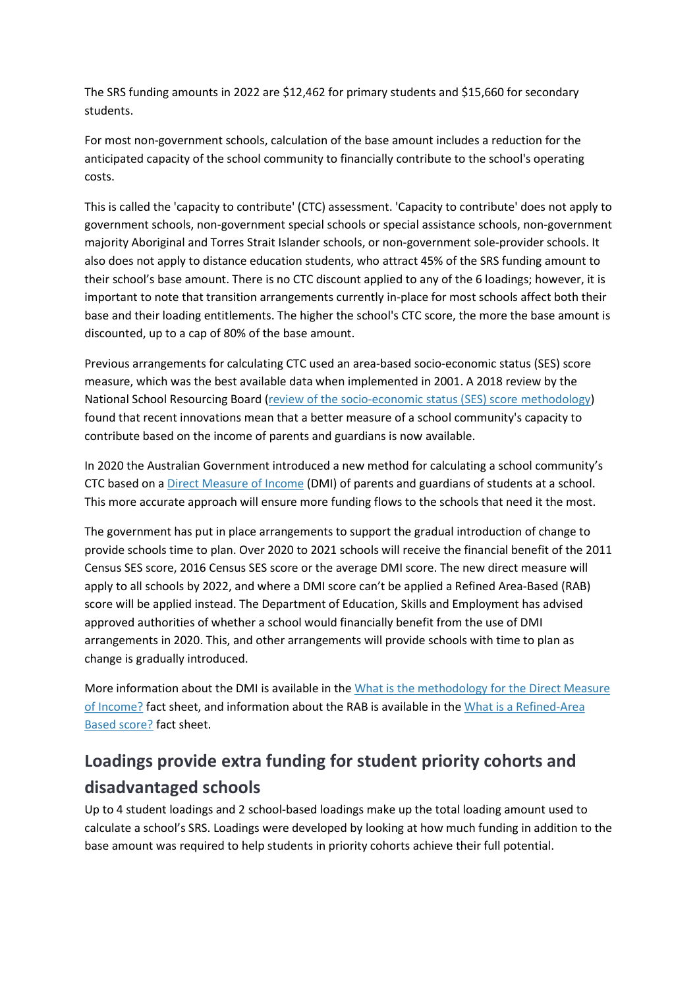The SRS funding amounts in 2022 are \$12,462 for primary students and \$15,660 for secondary students.

For most non-government schools, calculation of the base amount includes a reduction for the anticipated capacity of the school community to financially contribute to the school's operating costs.

This is called the 'capacity to contribute' (CTC) assessment. 'Capacity to contribute' does not apply to government schools, non-government special schools or special assistance schools, non-government majority Aboriginal and Torres Strait Islander schools, or non-government sole-provider schools. It also does not apply to distance education students, who attract 45% of the SRS funding amount to their school's base amount. There is no CTC discount applied to any of the 6 loadings; however, it is important to note that transition arrangements currently in-place for most schools affect both their base and their loading entitlements. The higher the school's CTC score, the more the base amount is discounted, up to a cap of 80% of the base amount.

Previous arrangements for calculating CTC used an area-based socio-economic status (SES) score measure, which was the best available data when implemented in 2001. A 2018 review by the National School Resourcing Board (review of the socio-economic status (SES) score methodology) found that recent innovations mean that a better measure of a school community's capacity to contribute based on the income of parents and guardians is now available.

In 2020 the Australian Government introduced a new method for calculating a school community's CTC based on a Direct Measure of Income (DMI) of parents and guardians of students at a school. This more accurate approach will ensure more funding flows to the schools that need it the most.

The government has put in place arrangements to support the gradual introduction of change to provide schools time to plan. Over 2020 to 2021 schools will receive the financial benefit of the 2011 Census SES score, 2016 Census SES score or the average DMI score. The new direct measure will apply to all schools by 2022, and where a DMI score can't be applied a Refined Area-Based (RAB) score will be applied instead. The Department of Education, Skills and Employment has advised approved authorities of whether a school would financially benefit from the use of DMI arrangements in 2020. This, and other arrangements will provide schools with time to plan as change is gradually introduced.

More information about the DMI is available in the What is the methodology for the Direct Measure of Income? fact sheet, and information about the RAB is available in the What is a Refined-Area Based score? fact sheet.

# Loadings provide extra funding for student priority cohorts and disadvantaged schools

Up to 4 student loadings and 2 school-based loadings make up the total loading amount used to calculate a school's SRS. Loadings were developed by looking at how much funding in addition to the base amount was required to help students in priority cohorts achieve their full potential.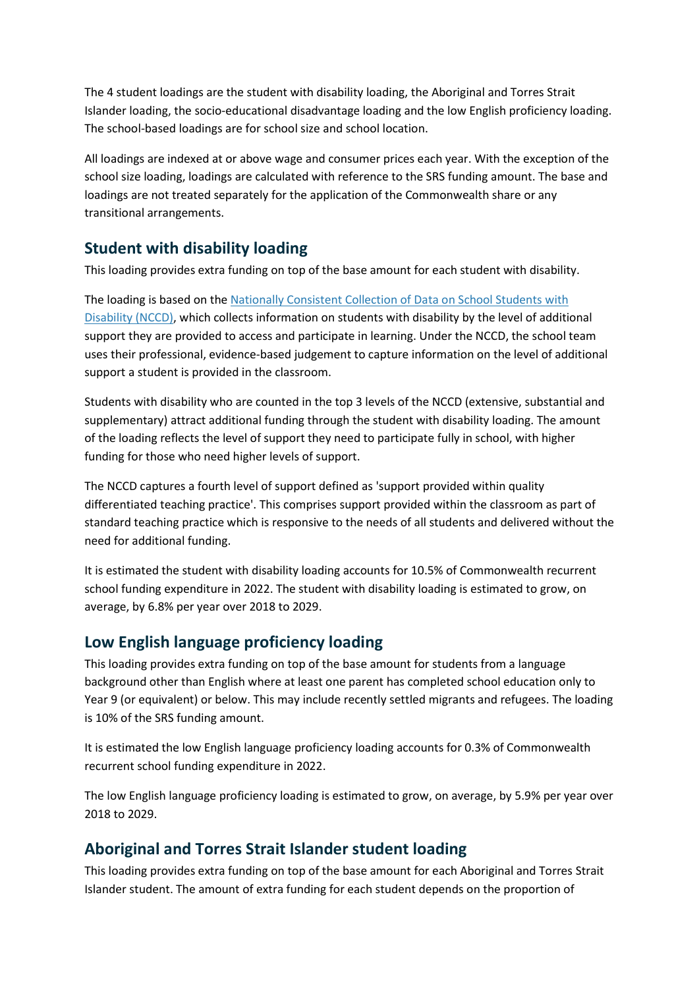The 4 student loadings are the student with disability loading, the Aboriginal and Torres Strait Islander loading, the socio-educational disadvantage loading and the low English proficiency loading. The school-based loadings are for school size and school location.

All loadings are indexed at or above wage and consumer prices each year. With the exception of the school size loading, loadings are calculated with reference to the SRS funding amount. The base and loadings are not treated separately for the application of the Commonwealth share or any transitional arrangements.

#### Student with disability loading

This loading provides extra funding on top of the base amount for each student with disability.

The loading is based on the Nationally Consistent Collection of Data on School Students with Disability (NCCD), which collects information on students with disability by the level of additional support they are provided to access and participate in learning. Under the NCCD, the school team uses their professional, evidence-based judgement to capture information on the level of additional support a student is provided in the classroom.

Students with disability who are counted in the top 3 levels of the NCCD (extensive, substantial and supplementary) attract additional funding through the student with disability loading. The amount of the loading reflects the level of support they need to participate fully in school, with higher funding for those who need higher levels of support.

The NCCD captures a fourth level of support defined as 'support provided within quality differentiated teaching practice'. This comprises support provided within the classroom as part of standard teaching practice which is responsive to the needs of all students and delivered without the need for additional funding.

It is estimated the student with disability loading accounts for 10.5% of Commonwealth recurrent school funding expenditure in 2022. The student with disability loading is estimated to grow, on average, by 6.8% per year over 2018 to 2029.

#### Low English language proficiency loading

This loading provides extra funding on top of the base amount for students from a language background other than English where at least one parent has completed school education only to Year 9 (or equivalent) or below. This may include recently settled migrants and refugees. The loading is 10% of the SRS funding amount.

It is estimated the low English language proficiency loading accounts for 0.3% of Commonwealth recurrent school funding expenditure in 2022.

The low English language proficiency loading is estimated to grow, on average, by 5.9% per year over 2018 to 2029.

#### Aboriginal and Torres Strait Islander student loading

This loading provides extra funding on top of the base amount for each Aboriginal and Torres Strait Islander student. The amount of extra funding for each student depends on the proportion of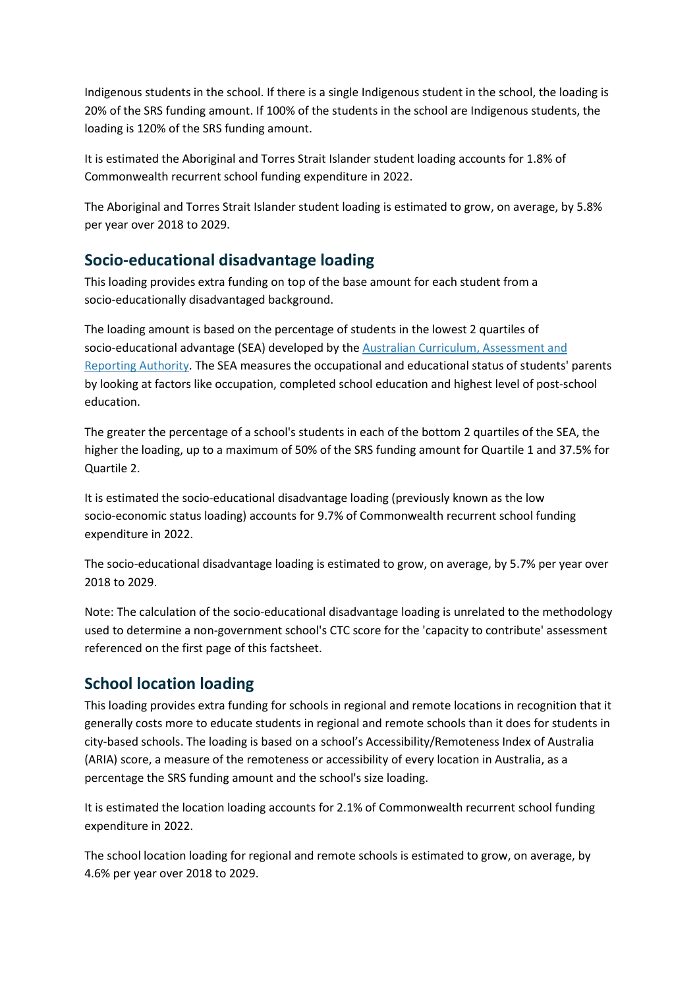Indigenous students in the school. If there is a single Indigenous student in the school, the loading is 20% of the SRS funding amount. If 100% of the students in the school are Indigenous students, the loading is 120% of the SRS funding amount.

It is estimated the Aboriginal and Torres Strait Islander student loading accounts for 1.8% of Commonwealth recurrent school funding expenditure in 2022.

The Aboriginal and Torres Strait Islander student loading is estimated to grow, on average, by 5.8% per year over 2018 to 2029.

#### Socio-educational disadvantage loading

This loading provides extra funding on top of the base amount for each student from a socio-educationally disadvantaged background.

The loading amount is based on the percentage of students in the lowest 2 quartiles of socio-educational advantage (SEA) developed by the Australian Curriculum, Assessment and Reporting Authority. The SEA measures the occupational and educational status of students' parents by looking at factors like occupation, completed school education and highest level of post-school education.

The greater the percentage of a school's students in each of the bottom 2 quartiles of the SEA, the higher the loading, up to a maximum of 50% of the SRS funding amount for Quartile 1 and 37.5% for Quartile 2.

It is estimated the socio-educational disadvantage loading (previously known as the low socio-economic status loading) accounts for 9.7% of Commonwealth recurrent school funding expenditure in 2022.

The socio-educational disadvantage loading is estimated to grow, on average, by 5.7% per year over 2018 to 2029.

Note: The calculation of the socio-educational disadvantage loading is unrelated to the methodology used to determine a non-government school's CTC score for the 'capacity to contribute' assessment referenced on the first page of this factsheet.

#### School location loading

This loading provides extra funding for schools in regional and remote locations in recognition that it generally costs more to educate students in regional and remote schools than it does for students in city-based schools. The loading is based on a school's Accessibility/Remoteness Index of Australia (ARIA) score, a measure of the remoteness or accessibility of every location in Australia, as a percentage the SRS funding amount and the school's size loading.

It is estimated the location loading accounts for 2.1% of Commonwealth recurrent school funding expenditure in 2022.

The school location loading for regional and remote schools is estimated to grow, on average, by 4.6% per year over 2018 to 2029.